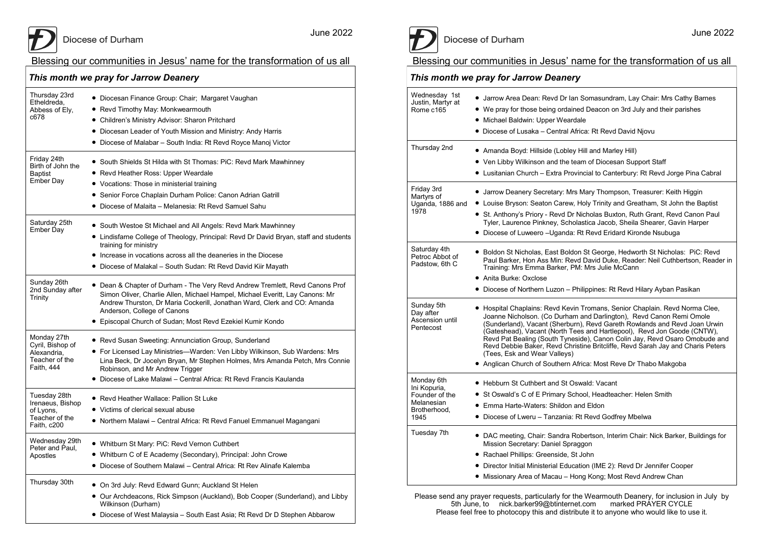June 2022

#### Blessing our communities in Jesus' name for the transformation of us all

| This month we pray for Jarrow Deanery                                          |                                                                                                                                                                                                                                                                                                                                       |  |
|--------------------------------------------------------------------------------|---------------------------------------------------------------------------------------------------------------------------------------------------------------------------------------------------------------------------------------------------------------------------------------------------------------------------------------|--|
| Thursday 23rd<br>Etheldreda,<br>Abbess of Ely,<br>c678                         | • Diocesan Finance Group: Chair; Margaret Vaughan<br>• Revd Timothy May: Monkwearmouth<br>• Children's Ministry Advisor: Sharon Pritchard<br>• Diocesan Leader of Youth Mission and Ministry: Andy Harris<br>• Diocese of Malabar - South India: Rt Revd Royce Manoj Victor                                                           |  |
| Friday 24th<br>Birth of John the<br>Baptist<br>Ember Day                       | • South Shields St Hilda with St Thomas: PiC: Revd Mark Mawhinney<br>• Revd Heather Ross: Upper Weardale<br>• Vocations: Those in ministerial training<br>• Senior Force Chaplain Durham Police: Canon Adrian Gatrill<br>• Diocese of Malaita – Melanesia: Rt Revd Samuel Sahu                                                        |  |
| Saturday 25th<br><b>Ember Day</b>                                              | • South Westoe St Michael and All Angels: Revd Mark Mawhinney<br>• Lindisfarne College of Theology, Principal: Revd Dr David Bryan, staff and students<br>training for ministry<br>• Increase in vocations across all the deaneries in the Diocese<br>• Diocese of Malakal – South Sudan: Rt Revd David Kiir Mayath                   |  |
| Sunday 26th<br>2nd Sunday after<br>Trinity                                     | • Dean & Chapter of Durham - The Very Revd Andrew Tremlett, Revd Canons Prof<br>Simon Oliver, Charlie Allen, Michael Hampel, Michael Everitt, Lay Canons: Mr<br>Andrew Thurston, Dr Maria Cockerill, Jonathan Ward, Clerk and CO: Amanda<br>Anderson, College of Canons<br>• Episcopal Church of Sudan; Most Revd Ezekiel Kumir Kondo |  |
| Monday 27th<br>Cyril, Bishop of<br>Alexandria.<br>Teacher of the<br>Faith, 444 | • Revd Susan Sweeting: Annunciation Group, Sunderland<br>• For Licensed Lay Ministries—Warden: Ven Libby Wilkinson, Sub Wardens: Mrs<br>Lina Beck, Dr Jocelyn Bryan, Mr Stephen Holmes, Mrs Amanda Petch, Mrs Connie<br>Robinson, and Mr Andrew Trigger<br>• Diocese of Lake Malawi – Central Africa: Rt Revd Francis Kaulanda        |  |
| Tuesday 28th<br>Irenaeus, Bishop<br>of Lyons,<br>Teacher of the<br>Faith, c200 | ● Revd Heather Wallace: Pallion St Luke<br>• Victims of clerical sexual abuse<br>Northern Malawi - Central Africa: Rt Revd Fanuel Emmanuel Magangani                                                                                                                                                                                  |  |
| Wednesday 29th<br>Peter and Paul,<br>Apostles                                  | . Whitburn St Mary: PiC: Revd Vernon Cuthbert<br>• Whitburn C of E Academy (Secondary), Principal: John Crowe<br>• Diocese of Southern Malawi – Central Africa: Rt Rev Alinafe Kalemba                                                                                                                                                |  |
| Thursday 30th                                                                  | • On 3rd July: Revd Edward Gunn; Auckland St Helen<br>• Our Archdeacons, Rick Simpson (Auckland), Bob Cooper (Sunderland), and Libby<br>Wilkinson (Durham)<br>• Diocese of West Malaysia - South East Asia; Rt Revd Dr D Stephen Abbarow                                                                                              |  |



# Diocese of Durham

June 2022

## Blessing our communities in Jesus' name for the transformation of us all

#### *This month we pray for Jarrow Deanery*

| Wednesday 1st<br>Justin, Martyr at<br>Rome c165                                    | • Jarrow Area Dean: Revd Dr Ian Somasundram, Lay Chair: Mrs Cathy Barnes<br>• We pray for those being ordained Deacon on 3rd July and their parishes<br>• Michael Baldwin: Upper Weardale<br>• Diocese of Lusaka - Central Africa: Rt Revd David Njovu                                                                                                                                                                                                                                                                                                                         |
|------------------------------------------------------------------------------------|--------------------------------------------------------------------------------------------------------------------------------------------------------------------------------------------------------------------------------------------------------------------------------------------------------------------------------------------------------------------------------------------------------------------------------------------------------------------------------------------------------------------------------------------------------------------------------|
| Thursday 2nd                                                                       | • Amanda Boyd: Hillside (Lobley Hill and Marley Hill)<br>• Ven Libby Wilkinson and the team of Diocesan Support Staff<br>• Lusitanian Church - Extra Provincial to Canterbury: Rt Revd Jorge Pina Cabral                                                                                                                                                                                                                                                                                                                                                                       |
| Friday 3rd<br>Martyrs of<br>Uganda, 1886 and<br>1978                               | • Jarrow Deanery Secretary: Mrs Mary Thompson, Treasurer: Keith Higgin<br>• Louise Bryson: Seaton Carew, Holy Trinity and Greatham, St John the Baptist<br>• St. Anthony's Priory - Revd Dr Nicholas Buxton, Ruth Grant, Revd Canon Paul<br>Tyler, Laurence Pinkney, Scholastica Jacob, Sheila Shearer, Gavin Harper<br>• Diocese of Luweero - Uganda: Rt Revd Eridard Kironde Nsubuga                                                                                                                                                                                         |
| Saturday 4th<br>Petroc Abbot of<br>Padstow. 6th C                                  | ● Boldon St Nicholas, East Boldon St George, Hedworth St Nicholas: PiC: Revd<br>Paul Barker, Hon Ass Min: Revd David Duke, Reader: Neil Cuthbertson, Reader in<br>Training: Mrs Emma Barker, PM: Mrs Julie McCann<br>• Anita Burke: Oxclose<br>• Diocese of Northern Luzon – Philippines: Rt Revd Hilary Ayban Pasikan                                                                                                                                                                                                                                                         |
| Sunday 5th<br>Day after<br>Ascension until<br>Pentecost                            | • Hospital Chaplains: Revd Kevin Tromans, Senior Chaplain. Revd Norma Clee,<br>Joanne Nicholson. (Co Durham and Darlington), Revd Canon Remi Omole<br>(Sunderland), Vacant (Sherburn), Revd Gareth Rowlands and Revd Joan Urwin<br>(Gateshead), Vacant (North Tees and Hartlepool), Revd Jon Goode (CNTW),<br>Revd Pat Bealing (South Tyneside), Canon Colin Jay, Revd Osaro Omobude and<br>Revd Debbie Baker, Revd Christine Britcliffe, Revd Sarah Jay and Charis Peters<br>(Tees, Esk and Wear Valleys)<br>• Anglican Church of Southern Africa: Most Reve Dr Thabo Makgoba |
| Monday 6th<br>Ini Kopuria,<br>Founder of the<br>Melanesian<br>Brotherhood.<br>1945 | • Hebburn St Cuthbert and St Oswald: Vacant<br>• St Oswald's C of E Primary School, Headteacher: Helen Smith<br>• Emma Harte-Waters: Shildon and Eldon<br>• Diocese of Lweru - Tanzania: Rt Revd Godfrey Mbelwa                                                                                                                                                                                                                                                                                                                                                                |
| Tuesday 7th                                                                        | • DAC meeting, Chair: Sandra Robertson, Interim Chair: Nick Barker, Buildings for<br>Mission Secretary: Daniel Spraggon<br>· Rachael Phillips: Greenside, St John<br>• Director Initial Ministerial Education (IME 2): Revd Dr Jennifer Cooper<br>• Missionary Area of Macau - Hong Kong; Most Revd Andrew Chan                                                                                                                                                                                                                                                                |

Please send any prayer requests, particularly for the Wearmouth Deanery, for inclusion in July by 5th June, to nick.barker99@btinternet.com marked PRAYER CYCLE Please feel free to photocopy this and distribute it to anyone who would like to use it.